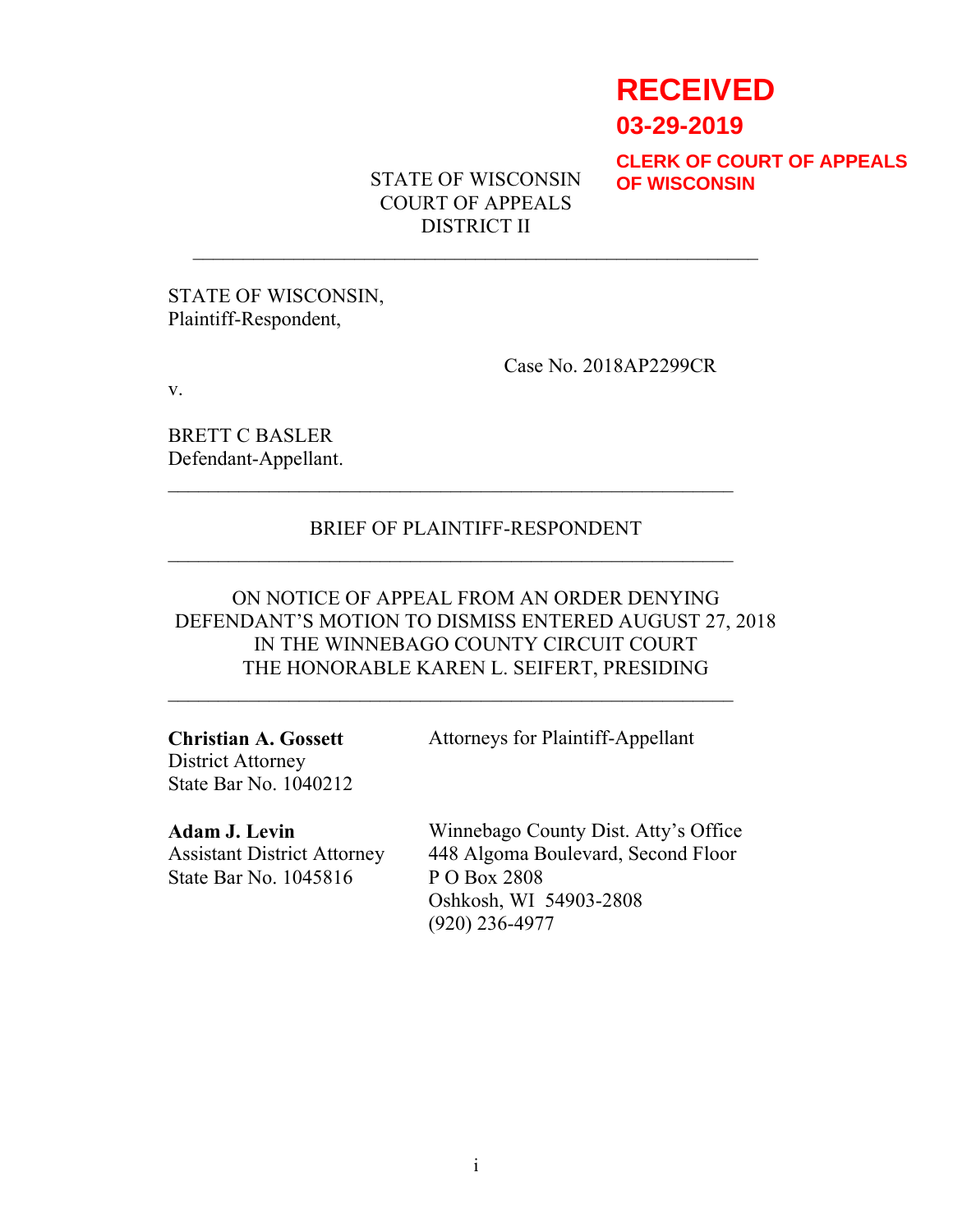# **RECEIVED**

**03-29-2019**

**CLERK OF COURT OF APPEALS OF WISCONSIN**

STATE OF WISCONSIN COURT OF APPEALS DISTRICT II

STATE OF WISCONSIN, Plaintiff-Respondent,

Case No. 2018AP2299CR

v.

BRETT C BASLER Defendant-Appellant.

### BRIEF OF PLAINTIFF-RESPONDENT

ON NOTICE OF APPEAL FROM AN ORDER DENYING DEFENDANT'S MOTION TO DISMISS ENTERED AUGUST 27, 2018 IN THE WINNEBAGO COUNTY CIRCUIT COURT THE HONORABLE KAREN L. SEIFERT, PRESIDING

 $\mathcal{L}_\text{max}$  and  $\mathcal{L}_\text{max}$  and  $\mathcal{L}_\text{max}$  and  $\mathcal{L}_\text{max}$  and  $\mathcal{L}_\text{max}$ 

Christian A. Gossett District Attorney State Bar No. 1040212 Attorneys for Plaintiff-Appellant

Adam J. Levin Assistant District Attorney State Bar No. 1045816

Winnebago County Dist. Atty's Office 448 Algoma Boulevard, Second Floor P O Box 2808 Oshkosh, WI 54903-2808 (920) 236-4977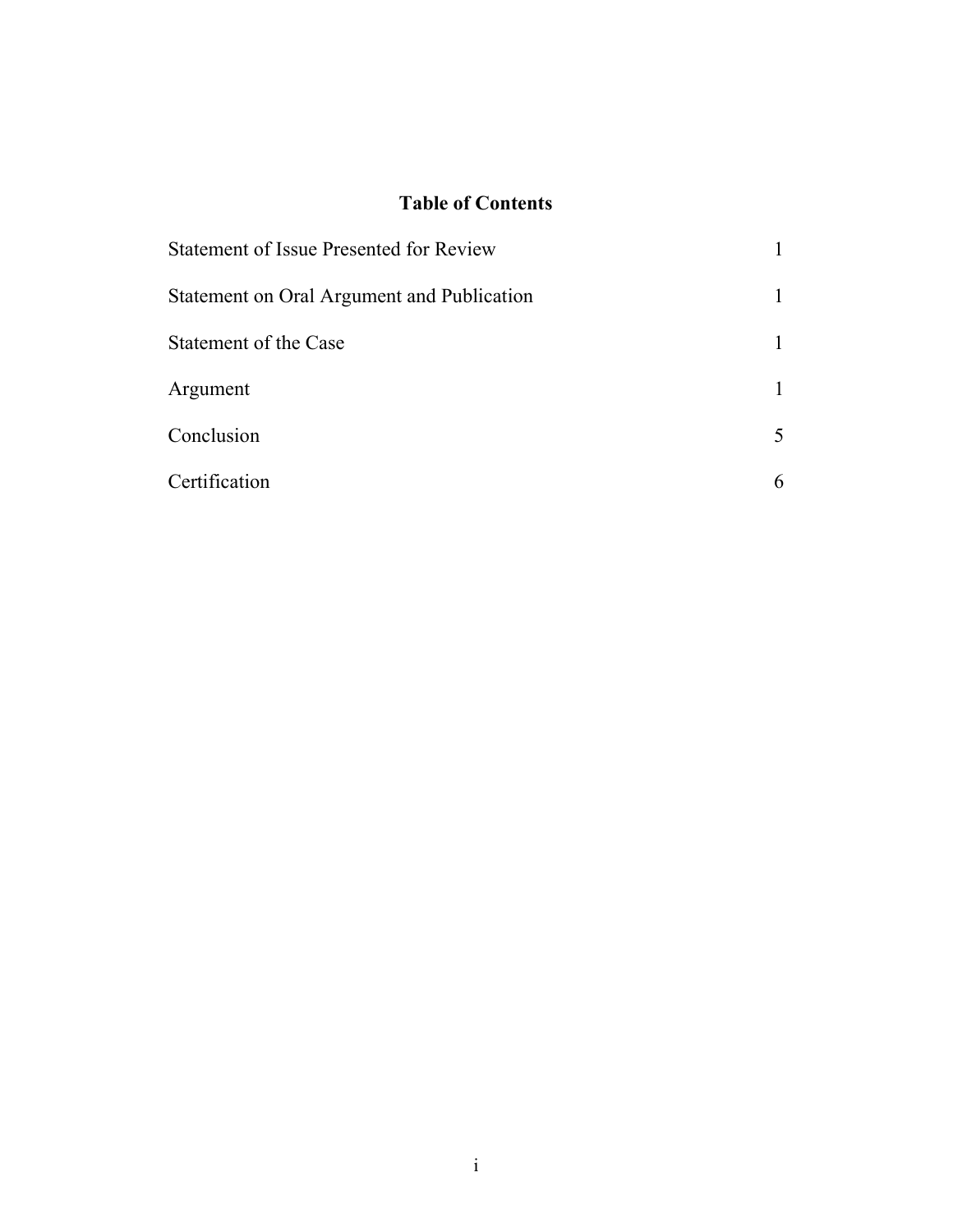## Table of Contents

| <b>Statement of Issue Presented for Review</b> |  |
|------------------------------------------------|--|
| Statement on Oral Argument and Publication     |  |
| Statement of the Case                          |  |
| Argument                                       |  |
| Conclusion                                     |  |
| Certification                                  |  |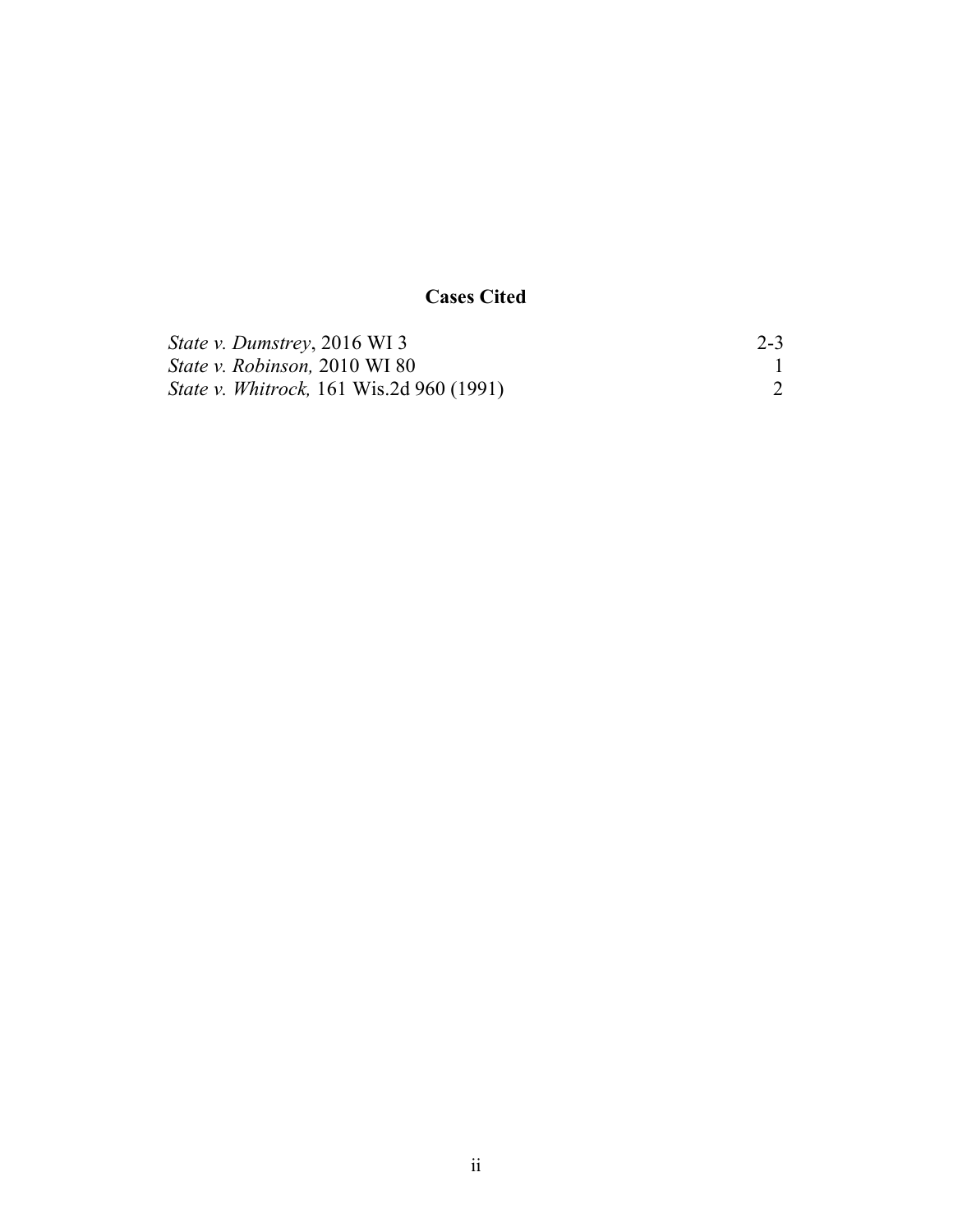# Cases Cited

| <i>State v. Dumstrey, 2016 WI3</i>               | $2 - 3$ |
|--------------------------------------------------|---------|
| <i>State v. Robinson, 2010 WI 80</i>             |         |
| <i>State v. Whitrock</i> , 161 Wis.2d 960 (1991) |         |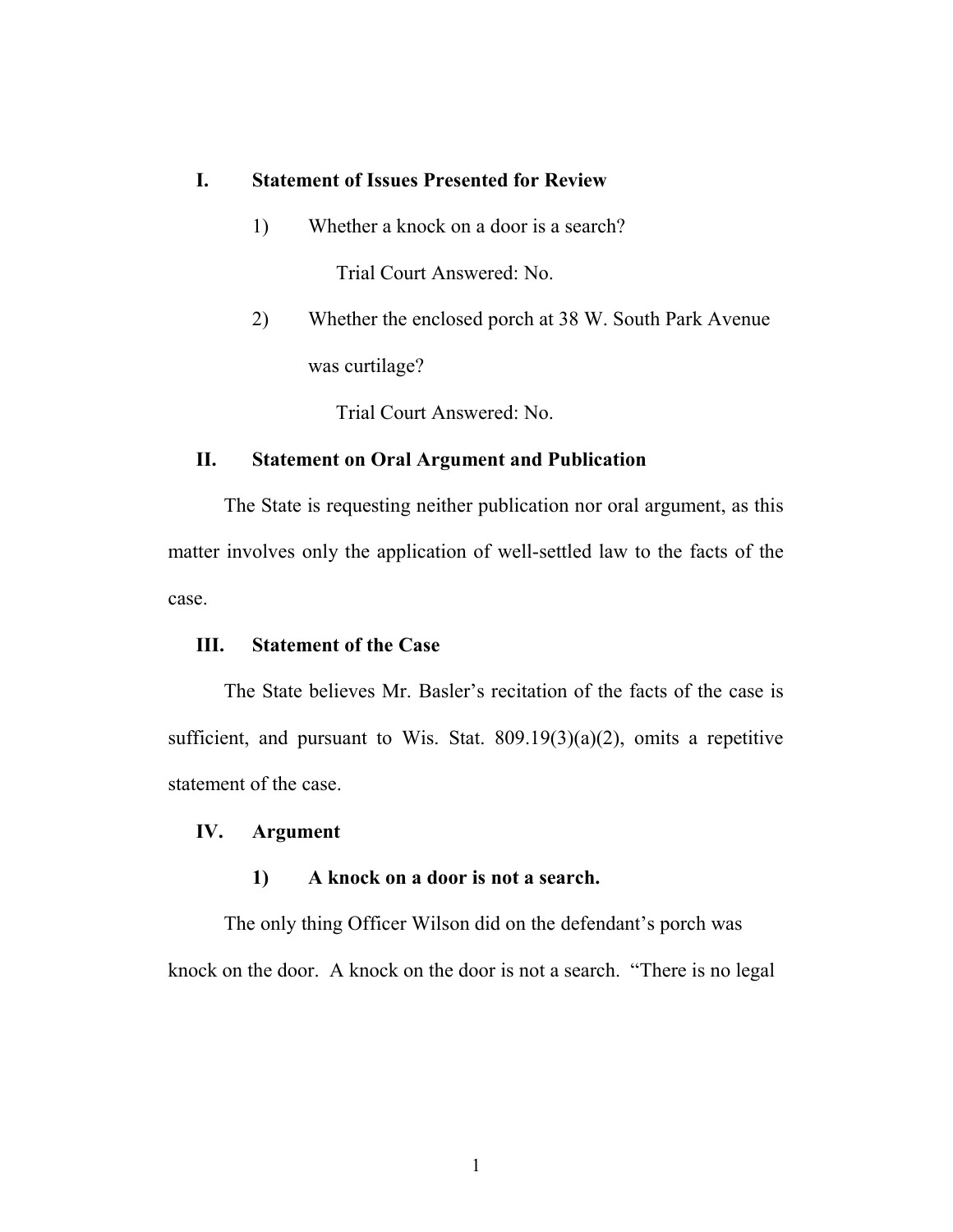#### I. Statement of Issues Presented for Review

- 1) Whether a knock on a door is a search? Trial Court Answered: No.
- 2) Whether the enclosed porch at 38 W. South Park Avenue was curtilage?

Trial Court Answered: No.

#### II. Statement on Oral Argument and Publication

The State is requesting neither publication nor oral argument, as this matter involves only the application of well-settled law to the facts of the case.

#### III. Statement of the Case

The State believes Mr. Basler's recitation of the facts of the case is sufficient, and pursuant to Wis. Stat.  $809.19(3)(a)(2)$ , omits a repetitive statement of the case.

#### IV. Argument

#### 1) A knock on a door is not a search.

The only thing Officer Wilson did on the defendant's porch was knock on the door. A knock on the door is not a search. "There is no legal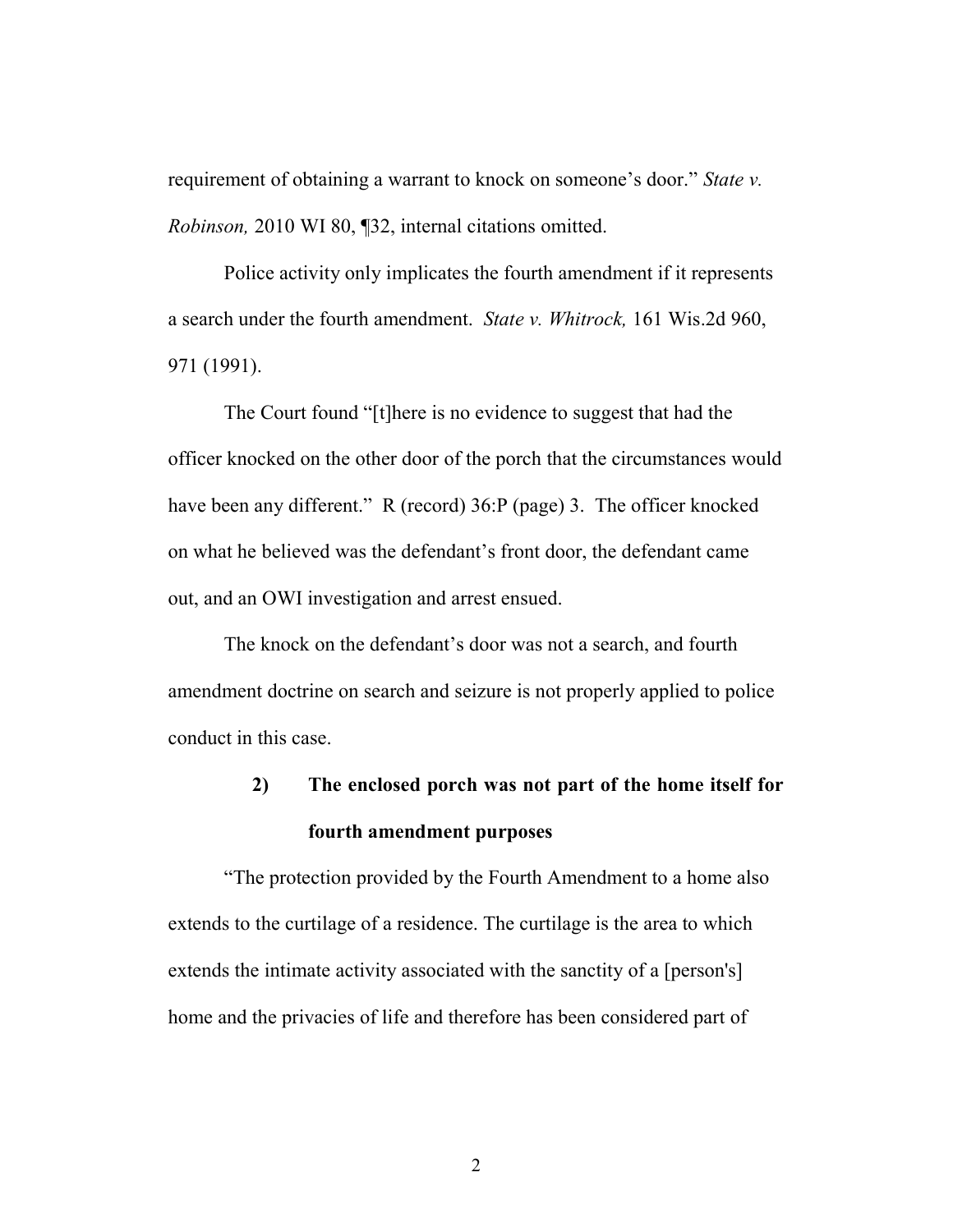requirement of obtaining a warrant to knock on someone's door." State v. Robinson, 2010 WI 80, ¶32, internal citations omitted.

Police activity only implicates the fourth amendment if it represents a search under the fourth amendment. State v. Whitrock, 161 Wis.2d 960, 971 (1991).

The Court found "[t]here is no evidence to suggest that had the officer knocked on the other door of the porch that the circumstances would have been any different." R (record) 36:P (page) 3. The officer knocked on what he believed was the defendant's front door, the defendant came out, and an OWI investigation and arrest ensued.

The knock on the defendant's door was not a search, and fourth amendment doctrine on search and seizure is not properly applied to police conduct in this case.

# 2) The enclosed porch was not part of the home itself for fourth amendment purposes

"The protection provided by the Fourth Amendment to a home also extends to the curtilage of a residence. The curtilage is the area to which extends the intimate activity associated with the sanctity of a [person's] home and the privacies of life and therefore has been considered part of

2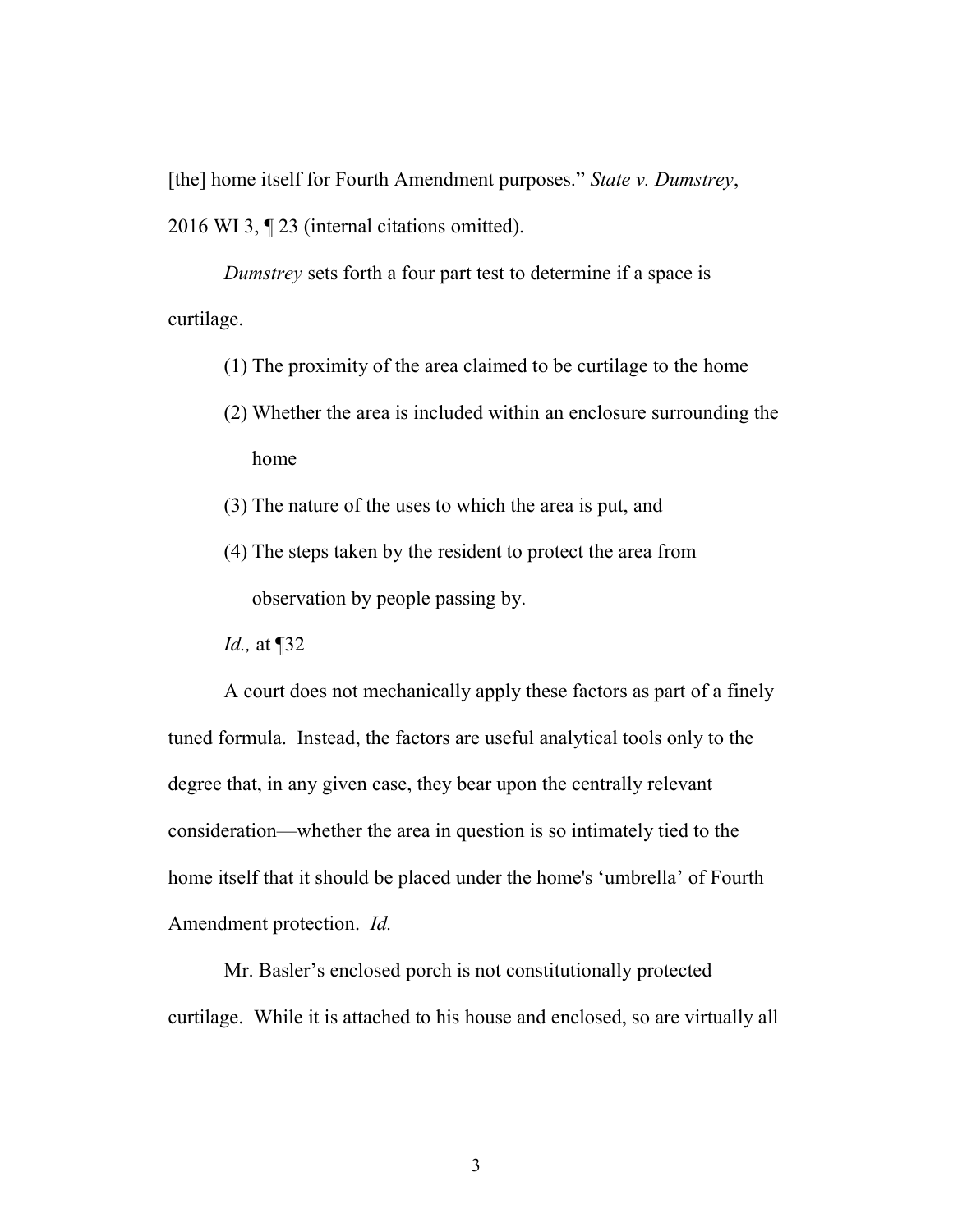[the] home itself for Fourth Amendment purposes." State v. Dumstrey, 2016 WI 3, ¶ 23 (internal citations omitted).

Dumstrey sets forth a four part test to determine if a space is curtilage.

- (1) The proximity of the area claimed to be curtilage to the home
- (2) Whether the area is included within an enclosure surrounding the home
- (3) The nature of the uses to which the area is put, and
- (4) The steps taken by the resident to protect the area from observation by people passing by.
- Id., at ¶32

A court does not mechanically apply these factors as part of a finely tuned formula. Instead, the factors are useful analytical tools only to the degree that, in any given case, they bear upon the centrally relevant consideration—whether the area in question is so intimately tied to the home itself that it should be placed under the home's 'umbrella' of Fourth Amendment protection. Id.

Mr. Basler's enclosed porch is not constitutionally protected curtilage. While it is attached to his house and enclosed, so are virtually all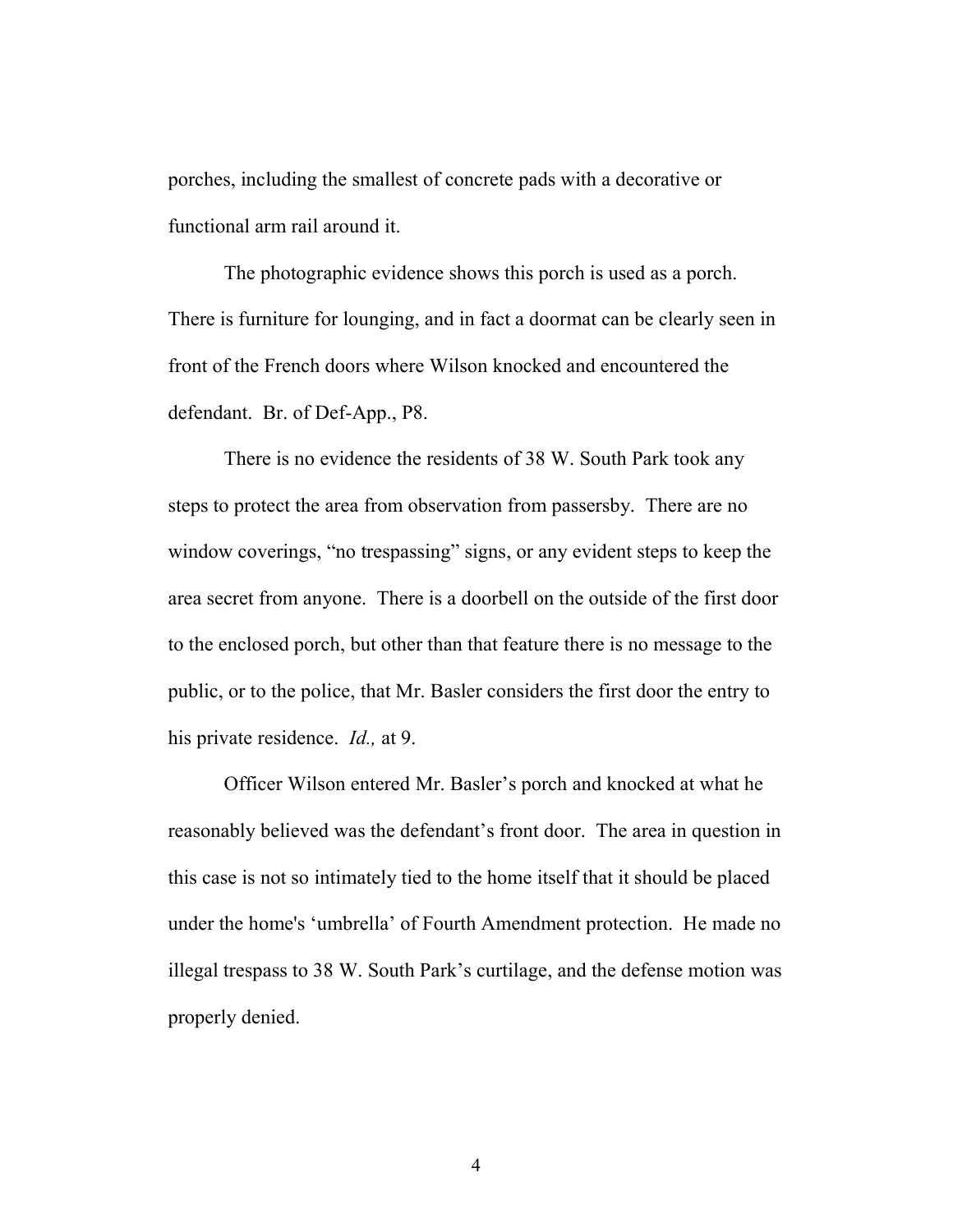porches, including the smallest of concrete pads with a decorative or functional arm rail around it.

The photographic evidence shows this porch is used as a porch. There is furniture for lounging, and in fact a doormat can be clearly seen in front of the French doors where Wilson knocked and encountered the defendant. Br. of Def-App., P8.

There is no evidence the residents of 38 W. South Park took any steps to protect the area from observation from passersby. There are no window coverings, "no trespassing" signs, or any evident steps to keep the area secret from anyone. There is a doorbell on the outside of the first door to the enclosed porch, but other than that feature there is no message to the public, or to the police, that Mr. Basler considers the first door the entry to his private residence. *Id.*, at 9.

Officer Wilson entered Mr. Basler's porch and knocked at what he reasonably believed was the defendant's front door. The area in question in this case is not so intimately tied to the home itself that it should be placed under the home's 'umbrella' of Fourth Amendment protection. He made no illegal trespass to 38 W. South Park's curtilage, and the defense motion was properly denied.

4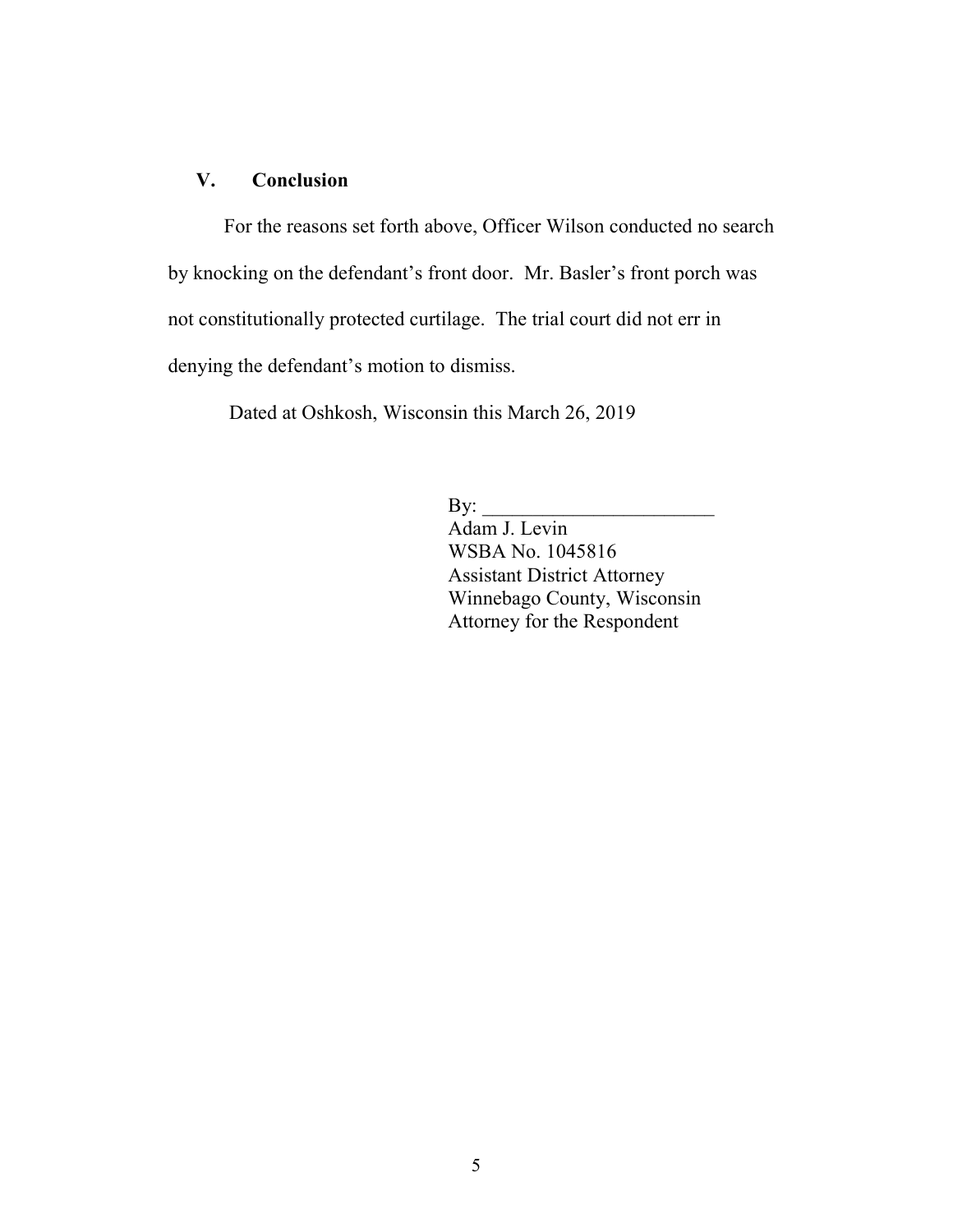#### V. Conclusion

For the reasons set forth above, Officer Wilson conducted no search by knocking on the defendant's front door. Mr. Basler's front porch was not constitutionally protected curtilage. The trial court did not err in denying the defendant's motion to dismiss.

Dated at Oshkosh, Wisconsin this March 26, 2019

By:  $\frac{\text{E}}{\text{E}}$ 

Adam J. Levin WSBA No. 1045816 Assistant District Attorney Winnebago County, Wisconsin Attorney for the Respondent